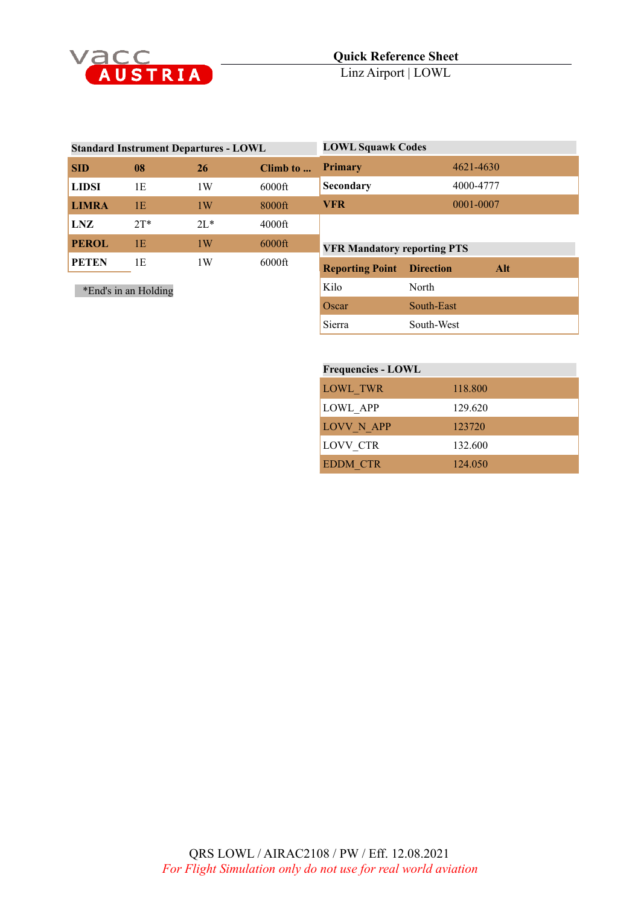

| <b>Standard Instrument Departures - LOWL</b> |        |        | <b>LOWL Squawk Codes</b> |                                    |                  |           |  |
|----------------------------------------------|--------|--------|--------------------------|------------------------------------|------------------|-----------|--|
| <b>SID</b>                                   | 08     | 26     | Climb to                 | <b>Primary</b>                     |                  | 4621-4630 |  |
| <b>LIDSI</b>                                 | 1E     | 1W     | $6000$ ft                | Secondary                          |                  | 4000-4777 |  |
| <b>LIMRA</b>                                 | 1E     | 1W     | 8000ft                   | <b>VFR</b>                         |                  | 0001-0007 |  |
| LNZ                                          | $2T^*$ | $2L^*$ | $4000$ ft                |                                    |                  |           |  |
| <b>PEROL</b>                                 | 1E     | 1W     | $6000$ ft                | <b>VFR Mandatory reporting PTS</b> |                  |           |  |
| <b>PETEN</b>                                 | 1E     | 1W     | $6000$ ft                | <b>Reporting Point</b>             | <b>Direction</b> | Alt       |  |
| *End's in an Holding                         |        |        | Kilo                     | North                              |                  |           |  |
|                                              |        |        |                          | Oscar                              | South-East       |           |  |
|                                              |        |        |                          | Sierra                             | South-West       |           |  |

| <b>Frequencies - LOWL</b> |         |  |
|---------------------------|---------|--|
| LOWL TWR                  | 118,800 |  |
| <b>LOWL APP</b>           | 129.620 |  |
| LOVV N APP                | 123720  |  |
| <b>LOVV CTR</b>           | 132.600 |  |
| <b>EDDM CTR</b>           | 124,050 |  |